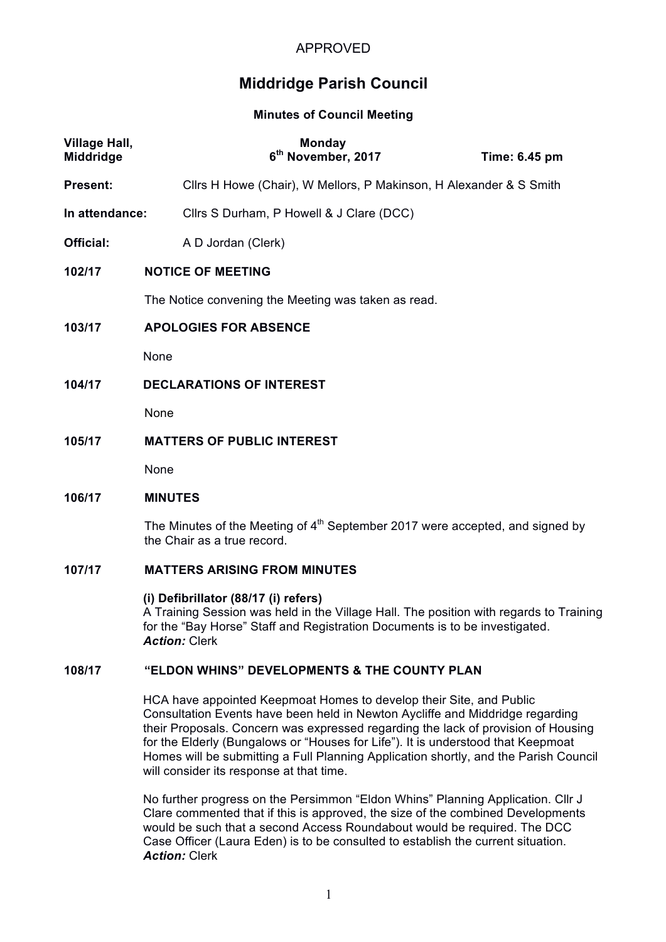# **Middridge Parish Council**

#### **Minutes of Council Meeting**

| <b>Village Hall,</b><br><b>Middridge</b> | <b>Monday</b><br>6 <sup>th</sup> November, 2017<br>Time: 6.45 pm   |  |  |
|------------------------------------------|--------------------------------------------------------------------|--|--|
| Present:                                 | Cllrs H Howe (Chair), W Mellors, P Makinson, H Alexander & S Smith |  |  |
| In attendance:                           | Cllrs S Durham, P Howell & J Clare (DCC)                           |  |  |
| Official:                                | A D Jordan (Clerk)                                                 |  |  |
| 102/17                                   | <b>NOTICE OF MEETING</b>                                           |  |  |
|                                          | The Notice convening the Meeting was taken as read.                |  |  |
| 103/17                                   | <b>APOLOGIES FOR ABSENCE</b>                                       |  |  |
|                                          | None                                                               |  |  |
| 104/17                                   | <b>DECLARATIONS OF INTEREST</b>                                    |  |  |
|                                          | None                                                               |  |  |
| 105/17                                   | <b>MATTERS OF PUBLIC INTEREST</b>                                  |  |  |
|                                          | None                                                               |  |  |

#### **106/17 MINUTES**

The Minutes of the Meeting of  $4<sup>th</sup>$  September 2017 were accepted, and signed by the Chair as a true record.

# **107/17 MATTERS ARISING FROM MINUTES**

#### **(i) Defibrillator (88/17 (i) refers)**

A Training Session was held in the Village Hall. The position with regards to Training for the "Bay Horse" Staff and Registration Documents is to be investigated. *Action:* Clerk

### **108/17 "ELDON WHINS" DEVELOPMENTS & THE COUNTY PLAN**

HCA have appointed Keepmoat Homes to develop their Site, and Public Consultation Events have been held in Newton Aycliffe and Middridge regarding their Proposals. Concern was expressed regarding the lack of provision of Housing for the Elderly (Bungalows or "Houses for Life"). It is understood that Keepmoat Homes will be submitting a Full Planning Application shortly, and the Parish Council will consider its response at that time.

No further progress on the Persimmon "Eldon Whins" Planning Application. Cllr J Clare commented that if this is approved, the size of the combined Developments would be such that a second Access Roundabout would be required. The DCC Case Officer (Laura Eden) is to be consulted to establish the current situation. *Action:* Clerk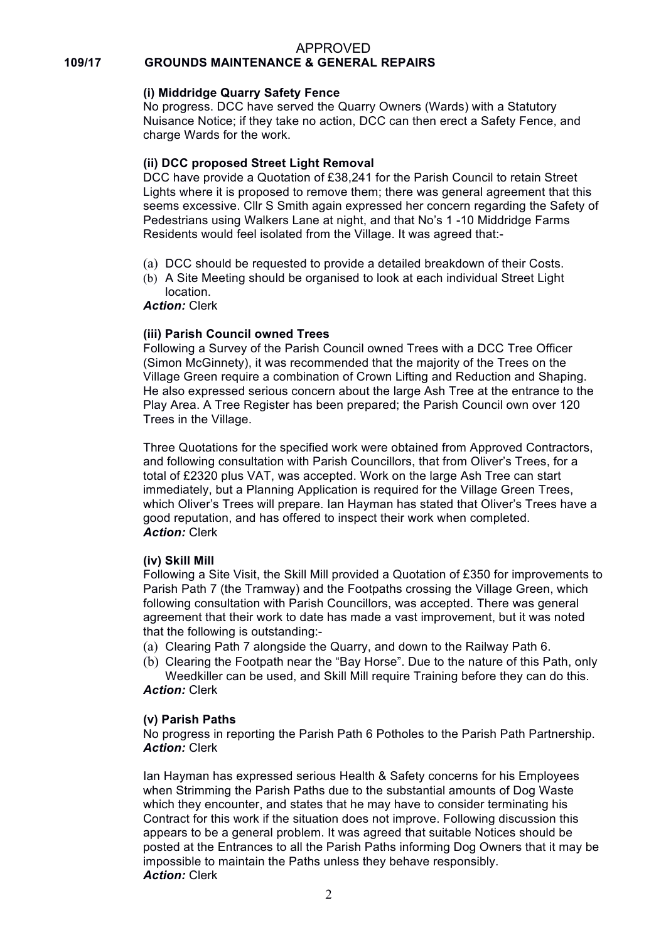#### APPROVED **109/17 GROUNDS MAINTENANCE & GENERAL REPAIRS**

# **(i) Middridge Quarry Safety Fence**

No progress. DCC have served the Quarry Owners (Wards) with a Statutory Nuisance Notice; if they take no action, DCC can then erect a Safety Fence, and charge Wards for the work.

#### **(ii) DCC proposed Street Light Removal**

DCC have provide a Quotation of £38,241 for the Parish Council to retain Street Lights where it is proposed to remove them; there was general agreement that this seems excessive. Cllr S Smith again expressed her concern regarding the Safety of Pedestrians using Walkers Lane at night, and that No's 1 -10 Middridge Farms Residents would feel isolated from the Village. It was agreed that:-

- (a) DCC should be requested to provide a detailed breakdown of their Costs.
- (b) A Site Meeting should be organised to look at each individual Street Light location.

*Action:* Clerk

### **(iii) Parish Council owned Trees**

Following a Survey of the Parish Council owned Trees with a DCC Tree Officer (Simon McGinnety), it was recommended that the majority of the Trees on the Village Green require a combination of Crown Lifting and Reduction and Shaping. He also expressed serious concern about the large Ash Tree at the entrance to the Play Area. A Tree Register has been prepared; the Parish Council own over 120 Trees in the Village.

Three Quotations for the specified work were obtained from Approved Contractors, and following consultation with Parish Councillors, that from Oliver's Trees, for a total of £2320 plus VAT, was accepted. Work on the large Ash Tree can start immediately, but a Planning Application is required for the Village Green Trees, which Oliver's Trees will prepare. Ian Hayman has stated that Oliver's Trees have a good reputation, and has offered to inspect their work when completed. *Action:* Clerk

#### **(iv) Skill Mill**

Following a Site Visit, the Skill Mill provided a Quotation of £350 for improvements to Parish Path 7 (the Tramway) and the Footpaths crossing the Village Green, which following consultation with Parish Councillors, was accepted. There was general agreement that their work to date has made a vast improvement, but it was noted that the following is outstanding:-

- (a) Clearing Path 7 alongside the Quarry, and down to the Railway Path 6.
- (b) Clearing the Footpath near the "Bay Horse". Due to the nature of this Path, only Weedkiller can be used, and Skill Mill require Training before they can do this.

# *Action:* Clerk

#### **(v) Parish Paths**

No progress in reporting the Parish Path 6 Potholes to the Parish Path Partnership. *Action:* Clerk

Ian Hayman has expressed serious Health & Safety concerns for his Employees when Strimming the Parish Paths due to the substantial amounts of Dog Waste which they encounter, and states that he may have to consider terminating his Contract for this work if the situation does not improve. Following discussion this appears to be a general problem. It was agreed that suitable Notices should be posted at the Entrances to all the Parish Paths informing Dog Owners that it may be impossible to maintain the Paths unless they behave responsibly. *Action:* Clerk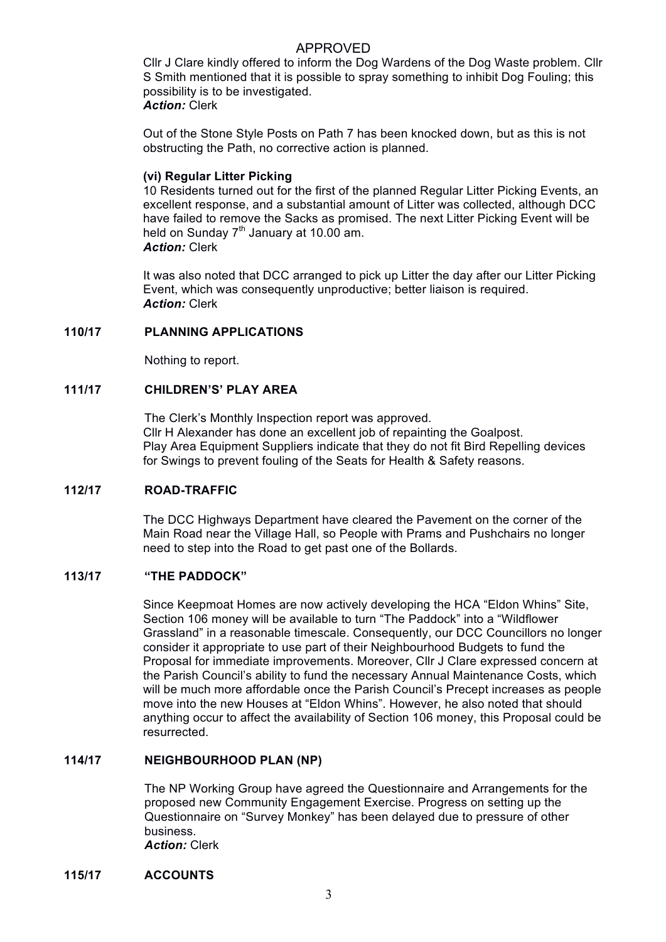Cllr J Clare kindly offered to inform the Dog Wardens of the Dog Waste problem. Cllr S Smith mentioned that it is possible to spray something to inhibit Dog Fouling; this possibility is to be investigated.

# *Action:* Clerk

Out of the Stone Style Posts on Path 7 has been knocked down, but as this is not obstructing the Path, no corrective action is planned.

#### **(vi) Regular Litter Picking**

10 Residents turned out for the first of the planned Regular Litter Picking Events, an excellent response, and a substantial amount of Litter was collected, although DCC have failed to remove the Sacks as promised. The next Litter Picking Event will be held on Sunday  $7<sup>th</sup>$  January at 10.00 am. *Action:* Clerk

It was also noted that DCC arranged to pick up Litter the day after our Litter Picking Event, which was consequently unproductive; better liaison is required. *Action:* Clerk

# **110/17 PLANNING APPLICATIONS**

Nothing to report.

### **111/17 CHILDREN'S' PLAY AREA**

The Clerk's Monthly Inspection report was approved. Cllr H Alexander has done an excellent job of repainting the Goalpost. Play Area Equipment Suppliers indicate that they do not fit Bird Repelling devices for Swings to prevent fouling of the Seats for Health & Safety reasons.

#### **112/17 ROAD-TRAFFIC**

The DCC Highways Department have cleared the Pavement on the corner of the Main Road near the Village Hall, so People with Prams and Pushchairs no longer need to step into the Road to get past one of the Bollards.

#### **113/17 "THE PADDOCK"**

Since Keepmoat Homes are now actively developing the HCA "Eldon Whins" Site, Section 106 money will be available to turn "The Paddock" into a "Wildflower Grassland" in a reasonable timescale. Consequently, our DCC Councillors no longer consider it appropriate to use part of their Neighbourhood Budgets to fund the Proposal for immediate improvements. Moreover, Cllr J Clare expressed concern at the Parish Council's ability to fund the necessary Annual Maintenance Costs, which will be much more affordable once the Parish Council's Precept increases as people move into the new Houses at "Eldon Whins". However, he also noted that should anything occur to affect the availability of Section 106 money, this Proposal could be resurrected.

#### **114/17 NEIGHBOURHOOD PLAN (NP)**

The NP Working Group have agreed the Questionnaire and Arrangements for the proposed new Community Engagement Exercise. Progress on setting up the Questionnaire on "Survey Monkey" has been delayed due to pressure of other business.

*Action:* Clerk

#### **115/17 ACCOUNTS**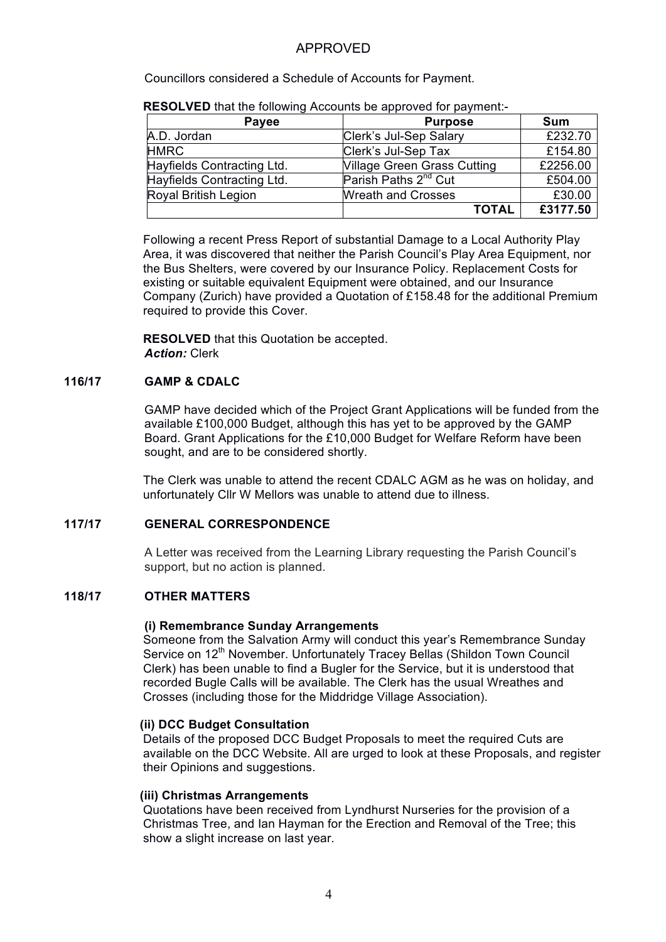Councillors considered a Schedule of Accounts for Payment.

| Payee                      | <b>Purpose</b>                     | <b>Sum</b> |
|----------------------------|------------------------------------|------------|
| A.D. Jordan                | Clerk's Jul-Sep Salary             | £232.70    |
| <b>HMRC</b>                | Clerk's Jul-Sep Tax                | £154.80    |
| Hayfields Contracting Ltd. | <b>Village Green Grass Cutting</b> | £2256.00   |
| Hayfields Contracting Ltd. | Parish Paths 2 <sup>nd</sup> Cut   | £504.00    |
| Royal British Legion       | <b>Wreath and Crosses</b>          | £30.00     |
|                            | <b>TOTAL</b>                       | £3177.50   |

**RESOLVED** that the following Accounts be approved for payment:-

Following a recent Press Report of substantial Damage to a Local Authority Play Area, it was discovered that neither the Parish Council's Play Area Equipment, nor the Bus Shelters, were covered by our Insurance Policy. Replacement Costs for existing or suitable equivalent Equipment were obtained, and our Insurance Company (Zurich) have provided a Quotation of £158.48 for the additional Premium required to provide this Cover.

**RESOLVED** that this Quotation be accepted. *Action:* Clerk

# **116/17 GAMP & CDALC**

GAMP have decided which of the Project Grant Applications will be funded from the available £100,000 Budget, although this has yet to be approved by the GAMP Board. Grant Applications for the £10,000 Budget for Welfare Reform have been sought, and are to be considered shortly.

The Clerk was unable to attend the recent CDALC AGM as he was on holiday, and unfortunately Cllr W Mellors was unable to attend due to illness.

# **117/17 GENERAL CORRESPONDENCE**

A Letter was received from the Learning Library requesting the Parish Council's support, but no action is planned.

# **118/17 OTHER MATTERS**

# **(i) Remembrance Sunday Arrangements**

Someone from the Salvation Army will conduct this year's Remembrance Sunday Service on 12<sup>th</sup> November. Unfortunately Tracey Bellas (Shildon Town Council Clerk) has been unable to find a Bugler for the Service, but it is understood that recorded Bugle Calls will be available. The Clerk has the usual Wreathes and Crosses (including those for the Middridge Village Association).

# **(ii) DCC Budget Consultation**

Details of the proposed DCC Budget Proposals to meet the required Cuts are available on the DCC Website. All are urged to look at these Proposals, and register their Opinions and suggestions.

#### **(iii) Christmas Arrangements**

Quotations have been received from Lyndhurst Nurseries for the provision of a Christmas Tree, and Ian Hayman for the Erection and Removal of the Tree; this show a slight increase on last year.